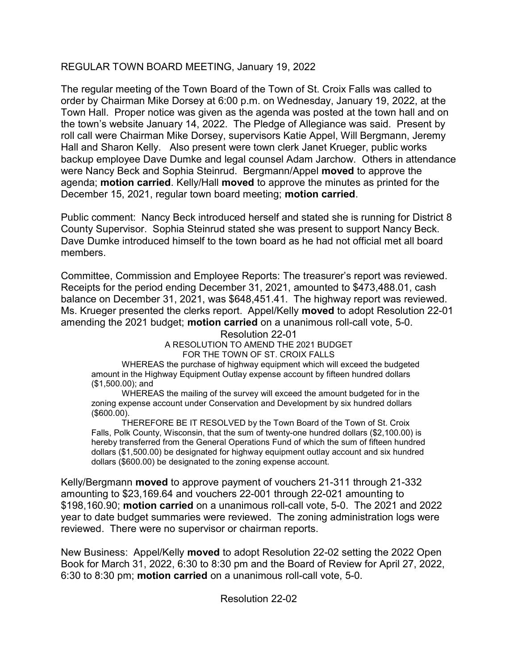## REGULAR TOWN BOARD MEETING, January 19, 2022

The regular meeting of the Town Board of the Town of St. Croix Falls was called to order by Chairman Mike Dorsey at 6:00 p.m. on Wednesday, January 19, 2022, at the Town Hall. Proper notice was given as the agenda was posted at the town hall and on the town's website January 14, 2022. The Pledge of Allegiance was said. Present by roll call were Chairman Mike Dorsey, supervisors Katie Appel, Will Bergmann, Jeremy Hall and Sharon Kelly. Also present were town clerk Janet Krueger, public works backup employee Dave Dumke and legal counsel Adam Jarchow. Others in attendance were Nancy Beck and Sophia Steinrud. Bergmann/Appel moved to approve the agenda; motion carried. Kelly/Hall moved to approve the minutes as printed for the December 15, 2021, regular town board meeting; motion carried.

Public comment: Nancy Beck introduced herself and stated she is running for District 8 County Supervisor. Sophia Steinrud stated she was present to support Nancy Beck. Dave Dumke introduced himself to the town board as he had not official met all board members.

Committee, Commission and Employee Reports: The treasurer's report was reviewed. Receipts for the period ending December 31, 2021, amounted to \$473,488.01, cash balance on December 31, 2021, was \$648,451.41. The highway report was reviewed. Ms. Krueger presented the clerks report. Appel/Kelly moved to adopt Resolution 22-01 amending the 2021 budget; motion carried on a unanimous roll-call vote, 5-0.

Resolution 22-01

A RESOLUTION TO AMEND THE 2021 BUDGET

FOR THE TOWN OF ST. CROIX FALLS

WHEREAS the purchase of highway equipment which will exceed the budgeted amount in the Highway Equipment Outlay expense account by fifteen hundred dollars (\$1,500.00); and

WHEREAS the mailing of the survey will exceed the amount budgeted for in the zoning expense account under Conservation and Development by six hundred dollars (\$600.00).

THEREFORE BE IT RESOLVED by the Town Board of the Town of St. Croix Falls, Polk County, Wisconsin, that the sum of twenty-one hundred dollars (\$2,100.00) is hereby transferred from the General Operations Fund of which the sum of fifteen hundred dollars (\$1,500.00) be designated for highway equipment outlay account and six hundred dollars (\$600.00) be designated to the zoning expense account.

Kelly/Bergmann **moved** to approve payment of vouchers 21-311 through 21-332 amounting to \$23,169.64 and vouchers 22-001 through 22-021 amounting to \$198,160.90; motion carried on a unanimous roll-call vote, 5-0. The 2021 and 2022 year to date budget summaries were reviewed. The zoning administration logs were reviewed. There were no supervisor or chairman reports.

New Business: Appel/Kelly moved to adopt Resolution 22-02 setting the 2022 Open Book for March 31, 2022, 6:30 to 8:30 pm and the Board of Review for April 27, 2022, 6:30 to 8:30 pm; motion carried on a unanimous roll-call vote, 5-0.